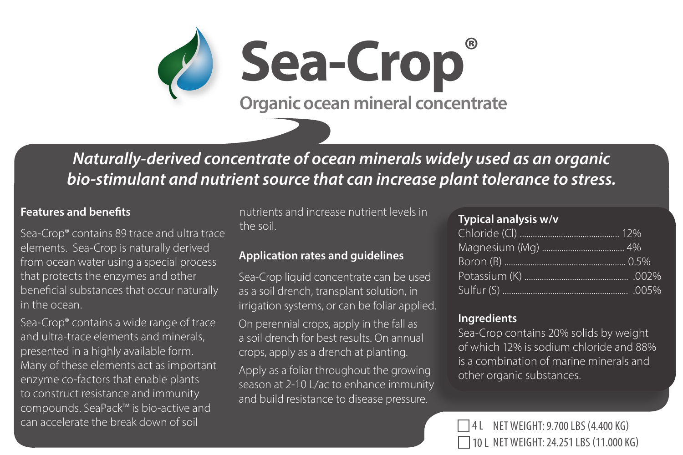*Naturally-derived concentrate of ocean minerals widely used as an organic bio-stimulant and nutrient source that can increase plant tolerance to stress.*

**Sea-Crop®**

**Organic ocean mineral concentrate**

### **Features and benefits**

Sea-Crop® contains 89 trace and ultra trace elements. Sea-Crop is naturally derived from ocean water using a special process that protects the enzymes and other beneficial substances that occur naturally in the ocean.

Y

Sea-Crop® contains a wide range of trace and ultra-trace elements and minerals, presented in a highly available form. Many of these elements act as important enzyme co-factors that enable plants compounds. SeaPack™ is bio-active and can accelerate the break down of soil  $\Box$  4 L NET WEIGHT: 9.700 LBS (4.400 KG)

nutrients and increase nutrient levels in the soil.

## **Application rates and guidelines**

Sea-Crop liquid concentrate can be used as a soil drench, transplant solution, in irrigation systems, or can be foliar applied.

On perennial crops, apply in the fall as a soil drench for best results. On annual crops, apply as a drench at planting.

Apply as a foliar throughout the growing season at 2-10 L/ac to enhance immunity and build resistance to disease pressure.

#### **Typical analysis w/v**

## **Ingredients**

Sea-Crop contains 20% solids by weight of which 12% is sodium chloride and 88% is a combination of marine minerals and other organic substances.

10 L NET WEIGHT: 24.251 LBS (11.000 KG)